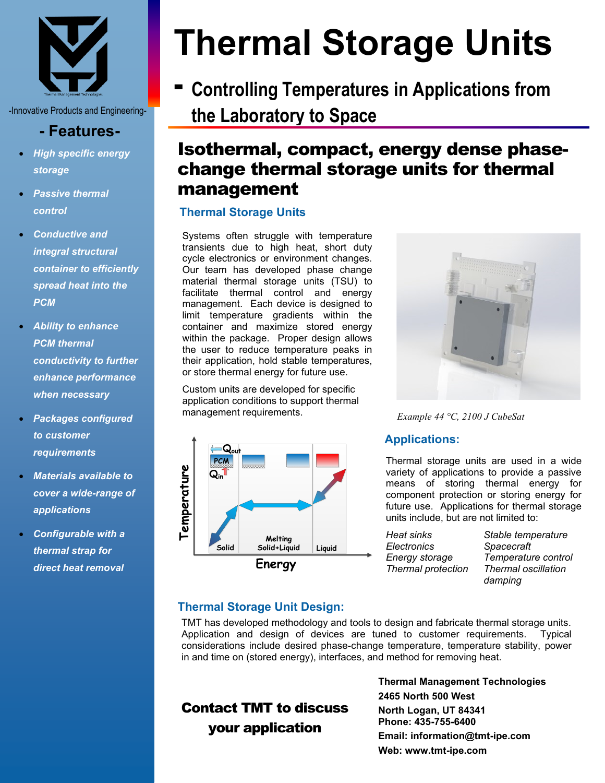

-Innovative Products and Engineering-

## **- Features-**

- *High specific energy storage*
- *Passive thermal control*
- *Conductive and integral structural container to efficiently spread heat into the PCM*
- *Ability to enhance PCM thermal conductivity to further enhance performance when necessary*
- *Packages configured to customer requirements*
- *Materials available to cover a wide-range of applications*
- *Configurable with a thermal strap for direct heat removal*

# **Thermal Storage Units**

**- Controlling Temperatures in Applications from the Laboratory to Space**

# Isothermal, compact, energy dense phasechange thermal storage units for thermal management

#### **Thermal Storage Units**

Systems often struggle with temperature transients due to high heat, short duty cycle electronics or environment changes. Our team has developed phase change material thermal storage units (TSU) to facilitate thermal control and energy management. Each device is designed to limit temperature gradients within the container and maximize stored energy within the package. Proper design allows the user to reduce temperature peaks in their application, hold stable temperatures, or store thermal energy for future use.

Custom units are developed for specific application conditions to support thermal management requirements.





*Example 44 °C, 2100 J CubeSat* 

#### **Applications:**

Thermal storage units are used in a wide variety of applications to provide a passive means of storing thermal energy for component protection or storing energy for future use. Applications for thermal storage units include, but are not limited to:

| Heat sinks         |  |
|--------------------|--|
| Electronics        |  |
| Energy storage     |  |
| Thermal protection |  |
|                    |  |

**Stable temperature** *Electronics Spacecraft Energy storage Temperature control Thermal protection Thermal oscillation damping*

### **Thermal Storage Unit Design:**

TMT has developed methodology and tools to design and fabricate thermal storage units. Application and design of devices are tuned to customer requirements. Typical considerations include desired phase-change temperature, temperature stability, power in and time on (stored energy), interfaces, and method for removing heat.

## Contact TMT to discuss your application

**Thermal Management Technologies 2465 North 500 West North Logan, UT 84341 Phone: 435-755-6400 Email: information@tmt-ipe.com Web: www.tmt-ipe.com**